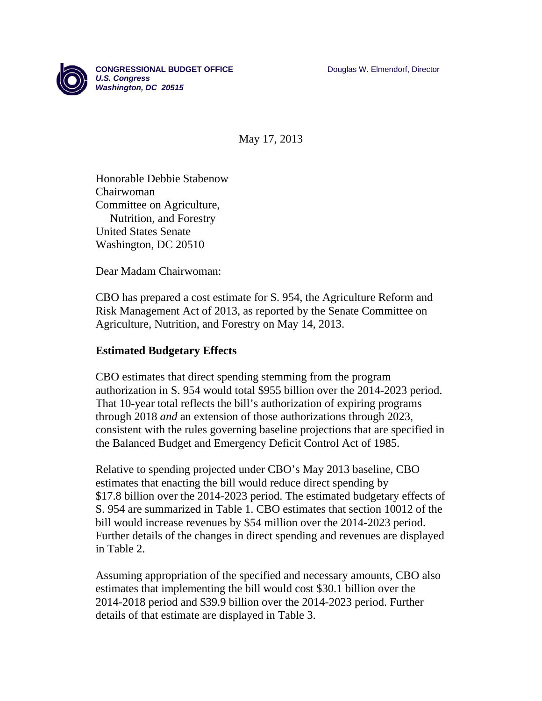

May 17, 2013

Honorable Debbie Stabenow Chairwoman Committee on Agriculture, Nutrition, and Forestry United States Senate Washington, DC 20510

Dear Madam Chairwoman:

CBO has prepared a cost estimate for S. 954, the Agriculture Reform and Risk Management Act of 2013, as reported by the Senate Committee on Agriculture, Nutrition, and Forestry on May 14, 2013.

## **Estimated Budgetary Effects**

CBO estimates that direct spending stemming from the program authorization in S. 954 would total \$955 billion over the 2014-2023 period. That 10-year total reflects the bill's authorization of expiring programs through 2018 *and* an extension of those authorizations through 2023, consistent with the rules governing baseline projections that are specified in the Balanced Budget and Emergency Deficit Control Act of 1985.

Relative to spending projected under CBO's May 2013 baseline, CBO estimates that enacting the bill would reduce direct spending by \$17.8 billion over the 2014-2023 period. The estimated budgetary effects of S. 954 are summarized in Table 1. CBO estimates that section 10012 of the bill would increase revenues by \$54 million over the 2014-2023 period. Further details of the changes in direct spending and revenues are displayed in Table 2.

Assuming appropriation of the specified and necessary amounts, CBO also estimates that implementing the bill would cost \$30.1 billion over the 2014-2018 period and \$39.9 billion over the 2014-2023 period. Further details of that estimate are displayed in Table 3.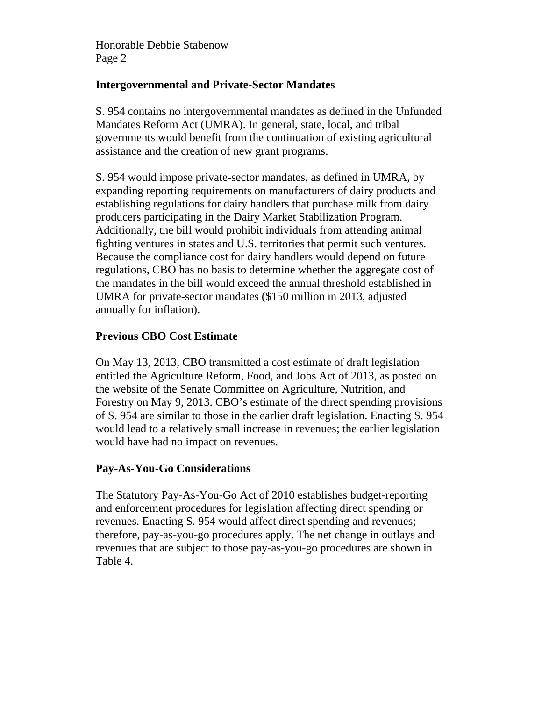Honorable Debbie Stabenow Page 2

# **Intergovernmental and Private-Sector Mandates**

S. 954 contains no intergovernmental mandates as defined in the Unfunded Mandates Reform Act (UMRA). In general, state, local, and tribal governments would benefit from the continuation of existing agricultural assistance and the creation of new grant programs.

S. 954 would impose private-sector mandates, as defined in UMRA, by expanding reporting requirements on manufacturers of dairy products and establishing regulations for dairy handlers that purchase milk from dairy producers participating in the Dairy Market Stabilization Program. Additionally, the bill would prohibit individuals from attending animal fighting ventures in states and U.S. territories that permit such ventures. Because the compliance cost for dairy handlers would depend on future regulations, CBO has no basis to determine whether the aggregate cost of the mandates in the bill would exceed the annual threshold established in UMRA for private-sector mandates (\$150 million in 2013, adjusted annually for inflation).

# **Previous CBO Cost Estimate**

On May 13, 2013, CBO transmitted a cost estimate of draft legislation entitled the Agriculture Reform, Food, and Jobs Act of 2013, as posted on the website of the Senate Committee on Agriculture, Nutrition, and Forestry on May 9, 2013. CBO's estimate of the direct spending provisions of S. 954 are similar to those in the earlier draft legislation. Enacting S. 954 would lead to a relatively small increase in revenues; the earlier legislation would have had no impact on revenues.

## **Pay-As-You-Go Considerations**

The Statutory Pay-As-You-Go Act of 2010 establishes budget-reporting and enforcement procedures for legislation affecting direct spending or revenues. Enacting S. 954 would affect direct spending and revenues; therefore, pay-as-you-go procedures apply. The net change in outlays and revenues that are subject to those pay-as-you-go procedures are shown in Table 4.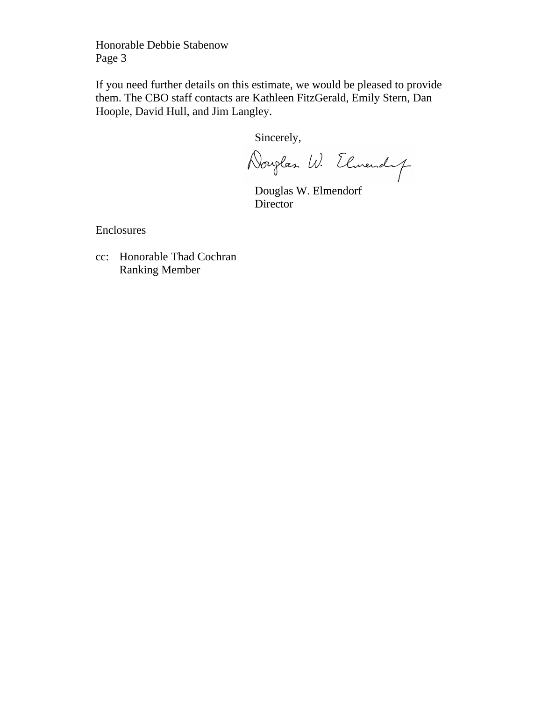Honorable Debbie Stabenow Page 3

If you need further details on this estimate, we would be pleased to provide them. The CBO staff contacts are Kathleen FitzGerald, Emily Stern, Dan Hoople, David Hull, and Jim Langley.

Sincerely,

Douglas W. Elmendup

 Douglas W. Elmendorf Director

Enclosures

cc: Honorable Thad Cochran Ranking Member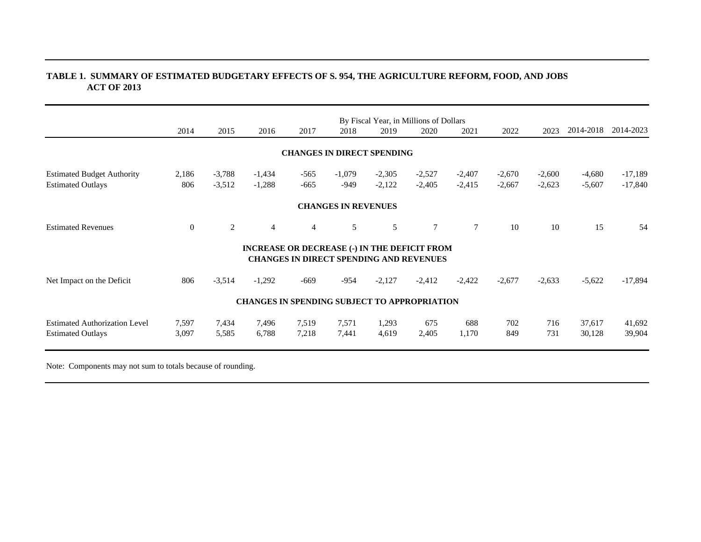### **TABLE 1. SUMMARY OF ESTIMATED BUDGETARY EFFECTS OF S. 954, THE AGRICULTURE REFORM, FOOD, AND JOB S ACT OF 2013**

|                                                                  |                |                      |                                                     |                  |                                   |                      | By Fiscal Year, in Millions of Dollars         |                      |                      |                      |                      |                        |
|------------------------------------------------------------------|----------------|----------------------|-----------------------------------------------------|------------------|-----------------------------------|----------------------|------------------------------------------------|----------------------|----------------------|----------------------|----------------------|------------------------|
|                                                                  | 2014           | 2015                 | 2016                                                | 2017             | 2018                              | 2019                 | 2020                                           | 2021                 | 2022                 | 2023                 | 2014-2018            | 2014-2023              |
|                                                                  |                |                      |                                                     |                  | <b>CHANGES IN DIRECT SPENDING</b> |                      |                                                |                      |                      |                      |                      |                        |
| <b>Estimated Budget Authority</b><br><b>Estimated Outlays</b>    | 2,186<br>806   | $-3,788$<br>$-3,512$ | $-1,434$<br>$-1,288$                                | $-565$<br>$-665$ | $-1,079$<br>$-949$                | $-2,305$<br>$-2,122$ | $-2,527$<br>$-2,405$                           | $-2,407$<br>$-2,415$ | $-2,670$<br>$-2,667$ | $-2,600$<br>$-2,623$ | $-4,680$<br>$-5,607$ | $-17,189$<br>$-17,840$ |
|                                                                  |                |                      |                                                     |                  | <b>CHANGES IN REVENUES</b>        |                      |                                                |                      |                      |                      |                      |                        |
| <b>Estimated Revenues</b>                                        | $\mathbf{0}$   | 2                    | $\overline{4}$                                      | $\overline{4}$   | 5                                 | 5                    | $\tau$                                         | $\tau$               | 10                   | 10                   | 15                   | 54                     |
|                                                                  |                |                      | <b>INCREASE OR DECREASE (-) IN THE DEFICIT FROM</b> |                  |                                   |                      | <b>CHANGES IN DIRECT SPENDING AND REVENUES</b> |                      |                      |                      |                      |                        |
| Net Impact on the Deficit                                        | 806            | $-3,514$             | $-1,292$                                            | $-669$           | $-954$                            | $-2,127$             | $-2,412$                                       | $-2,422$             | $-2,677$             | $-2,633$             | $-5,622$             | $-17,894$              |
|                                                                  |                |                      | <b>CHANGES IN SPENDING SUBJECT TO APPROPRIATION</b> |                  |                                   |                      |                                                |                      |                      |                      |                      |                        |
| <b>Estimated Authorization Level</b><br><b>Estimated Outlays</b> | 7,597<br>3,097 | 7,434<br>5,585       | 7,496<br>6,788                                      | 7,519<br>7,218   | 7,571<br>7,441                    | 1,293<br>4,619       | 675<br>2,405                                   | 688<br>1,170         | 702<br>849           | 716<br>731           | 37,617<br>30,128     | 41,692<br>39,904       |

Note: Components may not sum to totals because of rounding.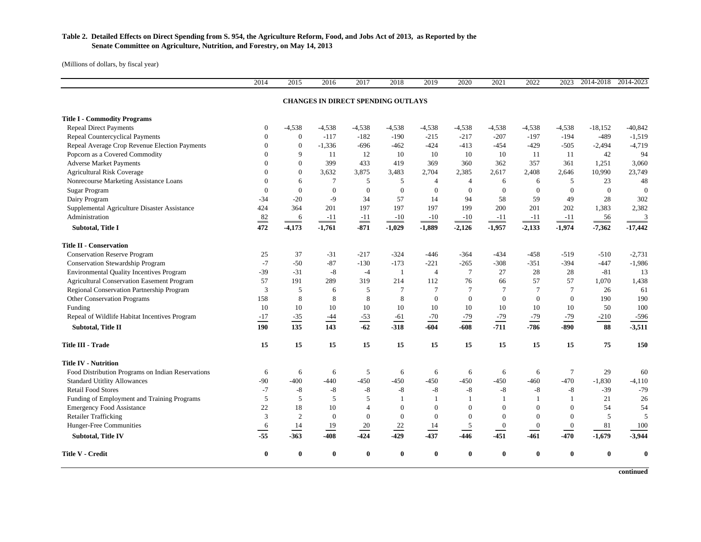### **Table 2. Detailed Effects on Direct Spending from S. 954, the Agriculture Reform, Food, and Jobs Act of 2013, as Reported by the Senate Committee on Agriculture, Nutrition, and Forestry, on May 14, 2013**

(Millions of dollars, by fiscal year)

|                                                   | 2014           | 2015             | 2016            | 2017                                      | 2018            | 2019            | 2020           | 2021             | 2022             | 2023           | 2014-2018 | 2014-2023    |
|---------------------------------------------------|----------------|------------------|-----------------|-------------------------------------------|-----------------|-----------------|----------------|------------------|------------------|----------------|-----------|--------------|
|                                                   |                |                  |                 | <b>CHANGES IN DIRECT SPENDING OUTLAYS</b> |                 |                 |                |                  |                  |                |           |              |
| <b>Title I - Commodity Programs</b>               |                |                  |                 |                                           |                 |                 |                |                  |                  |                |           |              |
| <b>Repeal Direct Payments</b>                     | $\overline{0}$ | $-4,538$         | $-4,538$        | $-4,538$                                  | $-4,538$        | $-4,538$        | $-4,538$       | $-4,538$         | $-4,538$         | $-4,538$       | $-18,152$ | $-40,842$    |
| <b>Repeal Countercyclical Payments</b>            | $\mathbf{0}$   | $\boldsymbol{0}$ | $-117$          | $-182$                                    | $-190$          | $-215$          | $-217$         | $-207$           | $-197$           | $-194$         | $-489$    | $-1,519$     |
| Repeal Average Crop Revenue Election Payments     | $\theta$       | $\mathbf{0}$     | $-1,336$        | $-696$                                    | $-462$          | $-424$          | $-413$         | $-454$           | $-429$           | $-505$         | $-2,494$  | $-4,719$     |
| Popcorn as a Covered Commodity                    | $\mathbf{0}$   | 9                | 11              | 12                                        | 10              | 10              | 10             | 10               | 11               | 11             | 42        | 94           |
| <b>Adverse Market Payments</b>                    | $\theta$       | $\overline{0}$   | 399             | 433                                       | 419             | 369             | 360            | 362              | 357              | 361            | 1,251     | 3,060        |
| <b>Agricultural Risk Coverage</b>                 | $\Omega$       | $\Omega$         | 3,632           | 3,875                                     | 3,483           | 2,704           | 2,385          | 2,617            | 2,408            | 2,646          | 10,990    | 23,749       |
| Nonrecourse Marketing Assistance Loans            | $\mathbf{0}$   | 6                | $7\phantom{.0}$ | 5                                         | $\sqrt{5}$      | $\overline{4}$  | $\overline{4}$ | 6                | 6                | 5              | 23        | 48           |
| Sugar Program                                     | $\theta$       | $\mathbf{0}$     | $\mathbf{0}$    | $\mathbf{0}$                              | $\mathbf{0}$    | $\theta$        | $\Omega$       | $\mathbf{0}$     | $\Omega$         | $\Omega$       | $\Omega$  | $\mathbf{0}$ |
| Dairy Program                                     | $-34$          | $-20$            | $-9$            | 34                                        | 57              | 14              | 94             | 58               | 59               | 49             | 28        | 302          |
| Supplemental Agriculture Disaster Assistance      | 424            | 364              | 201             | 197                                       | 197             | 197             | 199            | 200              | 201              | 202            | 1,383     | 2,382        |
| Administration                                    | 82             | 6                | $-11$           | $-11$                                     | $-10$           | $-10$           | $-10$          | $-11$            | $-11$            | $-11$          | 56        | 3            |
| Subtotal, Title I                                 | 472            | $-4,173$         | $-1,761$        | $-871$                                    | $-1,029$        | $-1,889$        | $-2,126$       | $-1,957$         | $-2,133$         | $-1,974$       | $-7,362$  | $-17,442$    |
| <b>Title II - Conservation</b>                    |                |                  |                 |                                           |                 |                 |                |                  |                  |                |           |              |
| <b>Conservation Reserve Program</b>               | 25             | 37               | $-31$           | $-217$                                    | $-324$          | $-446$          | $-364$         | $-434$           | $-458$           | $-519$         | $-510$    | $-2,731$     |
| <b>Conservation Stewardship Program</b>           | $-7$           | $-50$            | $-87$           | $-130$                                    | $-173$          | $-221$          | $-265$         | $-308$           | $-351$           | $-394$         | $-447$    | $-1,986$     |
| <b>Environmental Quality Incentives Program</b>   | -39            | $-31$            | $-8$            | $-4$                                      | 1               | $\overline{4}$  | $\tau$         | 27               | 28               | 28             | $-81$     | 13           |
| <b>Agricultural Conservation Easement Program</b> | 57             | 191              | 289             | 319                                       | 214             | 112             | 76             | 66               | 57               | 57             | 1,070     | 1,438        |
| Regional Conservation Partnership Program         | 3              | 5                | 6               | 5                                         | $7\phantom{.0}$ | $7\phantom{.0}$ | $\overline{7}$ | 7                | $\overline{7}$   | $\overline{7}$ | 26        | 61           |
| <b>Other Conservation Programs</b>                | 158            | 8                | 8               | 8                                         | 8               | $\Omega$        | $\Omega$       | $\Omega$         | $\theta$         | $\Omega$       | 190       | 190          |
| Funding                                           | 10             | 10               | 10              | 10                                        | 10              | 10              | 10             | 10               | 10               | 10             | 50        | 100          |
| Repeal of Wildlife Habitat Incentives Program     | $\mbox{-}17$   | $-35$            | $\frac{-44}{1}$ | $-53$                                     | $-61$           | $-70$           | $-79$          | $-79$            | $-79$            | $-79$          | $-210$    | $-596$       |
| Subtotal, Title II                                | 190            | 135              | 143             | $-62$                                     | $-318$          | $-604$          | $-608$         | $-711$           | $-786$           | $-890$         | 88        | $-3,511$     |
| Title III - Trade                                 | 15             | 15               | 15              | 15                                        | 15              | 15              | 15             | 15               | 15               | 15             | 75        | 150          |
| <b>Title IV - Nutrition</b>                       |                |                  |                 |                                           |                 |                 |                |                  |                  |                |           |              |
| Food Distribution Programs on Indian Reservations | 6              | 6                | 6               | 5                                         | 6               | 6               | 6              | 6                | 6                | $\tau$         | 29        | 60           |
| <b>Standard Utitlity Allowances</b>               | $-90$          | $-400$           | $-440$          | $-450$                                    | $-450$          | $-450$          | $-450$         | $-450$           | $-460$           | $-470$         | $-1,830$  | $-4,110$     |
| <b>Retail Food Stores</b>                         | $-7$           | $-8$             | $-8$            | $-8$                                      | $-8$            | $-8$            | $-8$           | $-8$             | $-8$             | $-8$           | $-39$     | $-79$        |
| Funding of Employment and Training Programs       | 5              | 5                | 5               | 5                                         | $\mathbf{1}$    | $\mathbf{1}$    | -1             | $\mathbf{1}$     | 1                | 1              | 21        | 26           |
| <b>Emergency Food Assistance</b>                  | 22             | 18               | 10              | $\overline{4}$                            | $\mathbf{0}$    | $\mathbf{0}$    | $\mathbf{0}$   | $\mathbf{0}$     | $\mathbf{0}$     | $\mathbf{0}$   | 54        | 54           |
| <b>Retailer Trafficking</b>                       | 3              | $\overline{2}$   | $\overline{0}$  | $\mathbf{0}$                              | $\mathbf{0}$    | $\mathbf{0}$    | $\mathbf{0}$   | $\mathbf{0}$     | $\overline{0}$   | $\mathbf{0}$   | 5         | 5            |
| Hunger-Free Communities                           | 6              | 14               | 19              | $20\,$                                    | 22              | 14              | 5              | $\boldsymbol{0}$ | $\boldsymbol{0}$ | $\mathbf{0}$   | 81        | 100          |
| <b>Subtotal, Title IV</b>                         | $-55$          | $-363$           | $-408$          | $-424$                                    | $-429$          | $-437$          | -446           | $-451$           | $-461$           | $-470$         | $-1,679$  | $-3,944$     |
| <b>Title V - Credit</b>                           | $\bf{0}$       | $\bf{0}$         | $\mathbf 0$     | $\bf{0}$                                  | $\bf{0}$        | $\bf{0}$        | $\bf{0}$       | $\bf{0}$         | $\mathbf{0}$     | $\bf{0}$       | $\bf{0}$  |              |

**continued**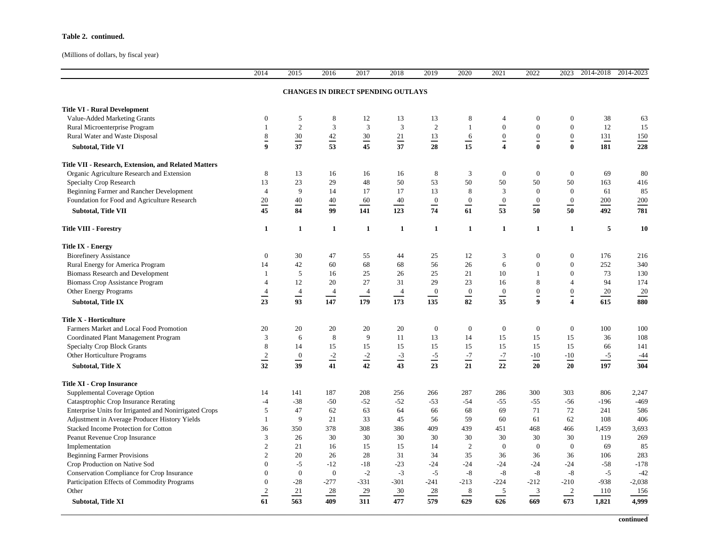#### **Table 2. continued.**

(Millions of dollars, by fiscal year)

|                                                        | 2014             | 2015           | 2016               | 2017            | 2018            | 2019                 | 2020            | 2021                 | 2022                        | 2023                    | 2014-2018 | 2014-2023      |  |  |
|--------------------------------------------------------|------------------|----------------|--------------------|-----------------|-----------------|----------------------|-----------------|----------------------|-----------------------------|-------------------------|-----------|----------------|--|--|
| <b>CHANGES IN DIRECT SPENDING OUTLAYS</b>              |                  |                |                    |                 |                 |                      |                 |                      |                             |                         |           |                |  |  |
| <b>Title VI - Rural Development</b>                    |                  |                |                    |                 |                 |                      |                 |                      |                             |                         |           |                |  |  |
| Value-Added Marketing Grants                           | $\mathbf{0}$     | 5              | $\,8\,$            | 12              | 13              | 13                   | 8               | $\overline{4}$       | $\boldsymbol{0}$            | $\boldsymbol{0}$        | 38        | 63             |  |  |
| Rural Microenterprise Program                          | $\mathbf{1}$     | $\sqrt{2}$     | 3                  | $\mathfrak{Z}$  | $\mathfrak{Z}$  | $\sqrt{2}$           | $\mathbf{1}$    | $\boldsymbol{0}$     | $\boldsymbol{0}$            | $\overline{0}$          | 12        | 15             |  |  |
| Rural Water and Waste Disposal                         | $\frac{8}{1}$    | $\frac{30}{5}$ | $\frac{42}{5}$     | $\frac{30}{45}$ | $\frac{21}{37}$ | 13                   | $\frac{6}{15}$  | $\frac{0}{4}$        | $\underline{0}$             | $\overline{0}$          | 131       | 150            |  |  |
| Subtotal, Title VI                                     | $\boldsymbol{9}$ | 37             | 53                 |                 |                 | $\frac{1}{28}$       |                 |                      | $\bf{0}$                    | $\mathbf{0}$            | 181       | 228            |  |  |
| Title VII - Research, Extension, and Related Matters   |                  |                |                    |                 |                 |                      |                 |                      |                             |                         |           |                |  |  |
| Organic Agriculture Research and Extension             | 8                | 13             | 16                 | 16              | 16              | 8                    | 3               | $\mathbf{0}$         | $\mathbf{0}$                | $\boldsymbol{0}$        | 69        | 80             |  |  |
| Specialty Crop Research                                | 13               | 23             | 29                 | 48              | 50              | 53                   | 50              | 50                   | 50                          | 50                      | 163       | 416            |  |  |
| Beginning Farmer and Rancher Development               | $\overline{4}$   | 9              | 14                 | 17              | 17              | 13                   | 8               | 3                    | $\mathbf{0}$                | $\boldsymbol{0}$        | 61        | 85             |  |  |
| Foundation for Food and Agriculture Research           | $\frac{20}{5}$   | 40             | 40                 | 60              | 40              | $\frac{0}{\sqrt{2}}$ | $\frac{0}{61}$  | $\frac{0}{\sqrt{2}}$ | $\frac{0}{\sqrt{2}}$        | $\bf{0}$                | 200       | 200            |  |  |
| Subtotal, Title VII                                    | 45               | 84             | 99                 | 141             | 123             | 74                   |                 | 53                   | 50                          | 50                      | 492       | 781            |  |  |
| <b>Title VIII - Forestry</b>                           | 1                | $\mathbf{1}$   | $\mathbf{1}$       | 1               | 1               | 1                    | 1               | $\mathbf{1}$         | $\mathbf{1}$                | 1                       | 5         | 10             |  |  |
| <b>Title IX - Energy</b>                               |                  |                |                    |                 |                 |                      |                 |                      |                             |                         |           |                |  |  |
| <b>Biorefinery Assistance</b>                          | $\boldsymbol{0}$ | 30             | 47                 | 55              | 44              | 25                   | 12              | 3                    | $\mathbf{0}$                | $\mathbf{0}$            | 176       | 216            |  |  |
| Rural Energy for America Program                       | 14               | 42             | 60                 | 68              | 68              | 56                   | 26              | $\sqrt{6}$           | $\boldsymbol{0}$            | $\boldsymbol{0}$        | 252       | 340            |  |  |
| <b>Biomass Research and Development</b>                | -1               | 5              | 16                 | 25              | 26              | 25                   | 21              | 10                   | $\mathbf{1}$                | $\mathbf{0}$            | 73        | 130            |  |  |
| <b>Biomass Crop Assistance Program</b>                 | $\overline{4}$   | 12             | 20                 | 27              | 31              | 29                   | 23              | 16                   | 8                           | $\overline{4}$          | 94        | 174            |  |  |
| Other Energy Programs                                  | $\frac{4}{1}$    | $\frac{4}{1}$  | $\frac{4}{1}$      | $\overline{4}$  | $\overline{4}$  | $\mathbf{0}$         | $\frac{0}{82}$  | $\frac{0}{35}$       | $\underline{0}$             | $\overline{0}$          | 20        | $\frac{20}{1}$ |  |  |
| Subtotal, Title IX                                     | 23               | 93             | 147                | 179             | 173             | 135                  |                 |                      | $\boldsymbol{9}$            | $\overline{\mathbf{4}}$ | 615       | 880            |  |  |
| <b>Title X - Horticulture</b>                          |                  |                |                    |                 |                 |                      |                 |                      |                             |                         |           |                |  |  |
| Farmers Market and Local Food Promotion                | 20               | 20             | 20                 | 20              | 20              | $\mathbf{0}$         | $\mathbf{0}$    | $\boldsymbol{0}$     | $\mathbf{0}$                | $\mathbf{0}$            | 100       | 100            |  |  |
| Coordinated Plant Management Program                   | 3                | 6              | $\,$ 8 $\,$        | 9               | 11              | 13                   | 14              | 15                   | 15                          | 15                      | 36        | 108            |  |  |
| Specialty Crop Block Grants                            | $\,$ 8 $\,$      | 14             | 15                 | 15              | 15              | 15                   | 15              | 15                   | 15                          | 15                      | 66        | 141            |  |  |
| Other Horticulture Programs                            | $\frac{2}{32}$   | $\frac{0}{39}$ | $\frac{-2}{\cdot}$ | $\frac{-2}{42}$ | $\frac{-3}{43}$ | $\frac{-5}{2}$       | $\frac{-7}{21}$ | $\frac{-7}{22}$      | $-10$                       | $-10$                   | $-5$      | $-44$          |  |  |
| Subtotal, Title X                                      |                  |                | 41                 |                 |                 | 23                   |                 |                      | 20                          | 20                      | 197       | 304            |  |  |
| <b>Title XI - Crop Insurance</b>                       |                  |                |                    |                 |                 |                      |                 |                      |                             |                         |           |                |  |  |
| Supplemental Coverage Option                           | 14               | 141            | 187                | 208             | 256             | 266                  | 287             | 286                  | 300                         | 303                     | 806       | 2,247          |  |  |
| Catasptrophic Crop Insurance Rerating                  | $-4$             | $-38$          | $-50$              | $-52$           | $-52$           | $-53$                | $-54$           | $-55$                | $-55$                       | $-56$                   | $-196$    | $-469$         |  |  |
| Enterprise Units for Irriganted and Nonirrigated Crops | 5                | 47             | 62                 | 63              | 64              | 66                   | 68              | 69                   | 71                          | 72                      | 241       | 586            |  |  |
| Adjustment in Average Producer History Yields          | $\mathbf{1}$     | 9              | 21                 | 33              | 45              | 56                   | 59              | 60                   | 61                          | 62                      | 108       | 406            |  |  |
| Stacked Income Protection for Cotton                   | 36               | 350            | 378                | 308             | 386             | 409                  | 439             | 451                  | 468                         | 466                     | 1,459     | 3,693          |  |  |
| Peanut Revenue Crop Insurance                          | 3                | 26             | 30                 | 30              | 30              | 30                   | 30              | 30                   | 30                          | 30                      | 119       | 269            |  |  |
| Implementation                                         | $\overline{c}$   | 21             | 16                 | 15              | 15              | 14                   | $\overline{2}$  | $\overline{0}$       | $\mathbf{0}$                | $\boldsymbol{0}$        | 69        | 85             |  |  |
| <b>Beginning Farmer Provisions</b>                     | $\overline{c}$   | 20             | 26                 | 28              | 31              | 34                   | 35              | 36                   | 36                          | 36                      | 106       | 283            |  |  |
| Crop Production on Native Sod                          | $\boldsymbol{0}$ | $-5$           | $-12$              | $-18$           | $-23$           | $-24$                | $-24$           | $-24$                | $-24$                       | $-24$                   | $-58$     | $-178$         |  |  |
| Conservation Compliance for Crop Insurance             | $\overline{0}$   | $\mathbf{0}$   | $\overline{0}$     | $-2$            | $-3$            | $-5$                 | $-8$            | $-8$                 | $-8$                        | $-8$                    | $-5$      | $-42$          |  |  |
| Participation Effects of Commodity Programs            | $\overline{0}$   | $-28$          | $-277$             | $-331$          | $-301$          | $-241$               | $-213$          | $-224$               | $-212$                      | $-210$                  | $-938$    | $-2,038$       |  |  |
| Other                                                  | $\overline{2}$   | 21             | 28                 | 29              | 30              | 28                   | $\, 8$          | $\frac{5}{1}$        | $\ensuremath{\mathfrak{Z}}$ | $\overline{2}$          | 110       | 156            |  |  |
| <b>Subtotal, Title XI</b>                              | 61               | 563            | 409                | 311             | 477             | 579                  | 629             | 626                  | 669                         | 673                     | 1,821     | 4,999          |  |  |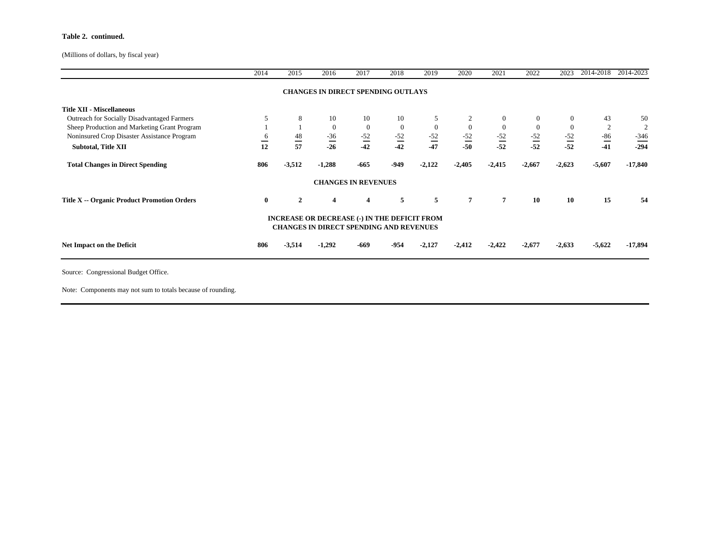#### **Table 2. continued.**

(Millions of dollars, by fiscal year)

|                                              | 2014     | 2015            | 2016                                                                                                  | 2017                       | 2018           | 2019     | 2020           | 2021              | 2022           | 2023     | 2014-2018      | 2014-2023      |
|----------------------------------------------|----------|-----------------|-------------------------------------------------------------------------------------------------------|----------------------------|----------------|----------|----------------|-------------------|----------------|----------|----------------|----------------|
|                                              |          |                 | <b>CHANGES IN DIRECT SPENDING OUTLAYS</b>                                                             |                            |                |          |                |                   |                |          |                |                |
| <b>Title XII - Miscellaneous</b>             |          |                 |                                                                                                       |                            |                |          |                |                   |                |          |                |                |
| Outreach for Socially Disadvantaged Farmers  | 5        | 8               | 10                                                                                                    | 10                         | 10             | 5        |                | $\mathbf{0}$      | $\overline{0}$ | $\theta$ | 43             | 50             |
| Sheep Production and Marketing Grant Program |          |                 | $\overline{0}$                                                                                        | $\overline{0}$             | $\overline{0}$ | $\Omega$ | $\overline{0}$ | $\mathbf{0}$      | $\overline{0}$ | $\Omega$ | $\overline{2}$ | $\overline{2}$ |
| Noninsured Crop Disaster Assistance Program  | 6        |                 | $-36$<br>$\hspace{0.1mm}-\hspace{0.1mm}$                                                              | $-52$                      | $-52$          | $-52$    | $-52$          |                   | $-52$          | $-52$    | $-86$          | $-346$         |
| <b>Subtotal, Title XII</b>                   | 12       | $\frac{48}{57}$ | $-26$                                                                                                 | $-42$                      | $-42$          | $-47$    | $-50$          | $\frac{-52}{-52}$ | $-52$          | $-52$    | $-41$          | $-294$         |
| <b>Total Changes in Direct Spending</b>      | 806      | $-3,512$        | $-1,288$                                                                                              | $-665$                     | -949           | $-2,122$ | $-2,405$       | $-2,415$          | $-2,667$       | $-2,623$ | $-5,607$       | $-17,840$      |
|                                              |          |                 |                                                                                                       | <b>CHANGES IN REVENUES</b> |                |          |                |                   |                |          |                |                |
| Title X -- Organic Product Promotion Orders  | $\bf{0}$ | $\mathbf{2}$    | $\overline{\mathbf{4}}$                                                                               | 4                          | 5              | 5        | $\overline{7}$ | $\overline{7}$    | 10             | 10       | 15             | 54             |
|                                              |          |                 | <b>INCREASE OR DECREASE (-) IN THE DEFICIT FROM</b><br><b>CHANGES IN DIRECT SPENDING AND REVENUES</b> |                            |                |          |                |                   |                |          |                |                |
| Net Impact on the Deficit                    | 806      | $-3,514$        | $-1,292$                                                                                              | -669                       | -954           | $-2,127$ | $-2,412$       | $-2,422$          | $-2,677$       | $-2,633$ | $-5,622$       | $-17,894$      |

Source: Congressional Budget Office.

Note: Components may not sum to totals because of rounding.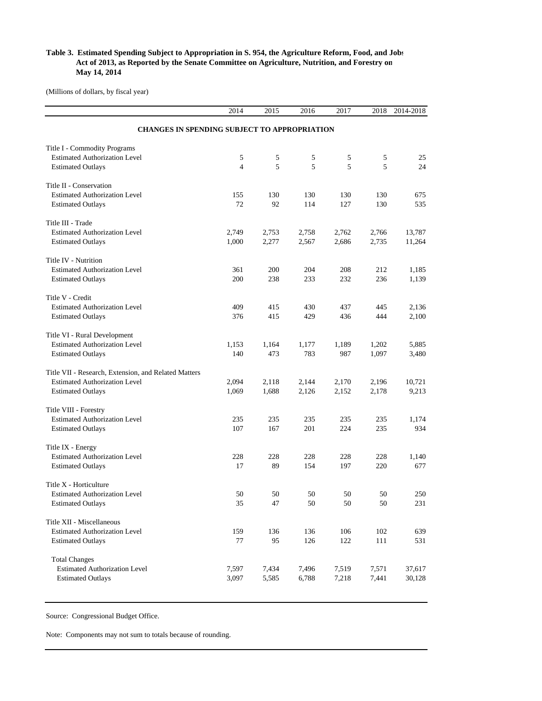### **Table 3. Estimated Spending Subject to Appropriation in S. 954, the Agriculture Reform, Food, and Jobs Act of 2013, as Reported by the Senate Committee on Agriculture, Nutrition, and Forestry on May 14, 2014**

(Millions of dollars, by fiscal year)

|                                                      | 2014           | 2015  | 2016  | 2017  | 2018  | 2014-2018 |  |  |  |  |  |  |
|------------------------------------------------------|----------------|-------|-------|-------|-------|-----------|--|--|--|--|--|--|
| <b>CHANGES IN SPENDING SUBJECT TO APPROPRIATION</b>  |                |       |       |       |       |           |  |  |  |  |  |  |
| Title I - Commodity Programs                         |                |       |       |       |       |           |  |  |  |  |  |  |
| <b>Estimated Authorization Level</b>                 | 5              | 5     | 5     | 5     | 5     | 25        |  |  |  |  |  |  |
| <b>Estimated Outlays</b>                             | $\overline{4}$ | 5     | 5     | 5     | 5     | 24        |  |  |  |  |  |  |
| Title II - Conservation                              |                |       |       |       |       |           |  |  |  |  |  |  |
| <b>Estimated Authorization Level</b>                 | 155            | 130   | 130   | 130   | 130   | 675       |  |  |  |  |  |  |
| <b>Estimated Outlays</b>                             | 72             | 92    | 114   | 127   | 130   | 535       |  |  |  |  |  |  |
| Title III - Trade                                    |                |       |       |       |       |           |  |  |  |  |  |  |
| <b>Estimated Authorization Level</b>                 | 2,749          | 2,753 | 2,758 | 2,762 | 2,766 | 13,787    |  |  |  |  |  |  |
| <b>Estimated Outlays</b>                             | 1,000          | 2,277 | 2,567 | 2,686 | 2,735 | 11,264    |  |  |  |  |  |  |
| Title IV - Nutrition                                 |                |       |       |       |       |           |  |  |  |  |  |  |
| <b>Estimated Authorization Level</b>                 | 361            | 200   | 204   | 208   | 212   | 1,185     |  |  |  |  |  |  |
| <b>Estimated Outlays</b>                             | 200            | 238   | 233   | 232   | 236   | 1,139     |  |  |  |  |  |  |
| Title V - Credit                                     |                |       |       |       |       |           |  |  |  |  |  |  |
| <b>Estimated Authorization Level</b>                 | 409            | 415   | 430   | 437   | 445   | 2,136     |  |  |  |  |  |  |
| <b>Estimated Outlays</b>                             | 376            | 415   | 429   | 436   | 444   | 2,100     |  |  |  |  |  |  |
| Title VI - Rural Development                         |                |       |       |       |       |           |  |  |  |  |  |  |
| <b>Estimated Authorization Level</b>                 | 1,153          | 1,164 | 1,177 | 1,189 | 1,202 | 5,885     |  |  |  |  |  |  |
| <b>Estimated Outlays</b>                             | 140            | 473   | 783   | 987   | 1,097 | 3,480     |  |  |  |  |  |  |
| Title VII - Research, Extension, and Related Matters |                |       |       |       |       |           |  |  |  |  |  |  |
| <b>Estimated Authorization Level</b>                 | 2,094          | 2,118 | 2,144 | 2,170 | 2,196 | 10,721    |  |  |  |  |  |  |
| <b>Estimated Outlays</b>                             | 1,069          | 1,688 | 2,126 | 2,152 | 2,178 | 9,213     |  |  |  |  |  |  |
| Title VIII - Forestry                                |                |       |       |       |       |           |  |  |  |  |  |  |
| <b>Estimated Authorization Level</b>                 | 235            | 235   | 235   | 235   | 235   | 1,174     |  |  |  |  |  |  |
| <b>Estimated Outlays</b>                             | 107            | 167   | 201   | 224   | 235   | 934       |  |  |  |  |  |  |
| Title IX - Energy                                    |                |       |       |       |       |           |  |  |  |  |  |  |
| <b>Estimated Authorization Level</b>                 | 228            | 228   | 228   | 228   | 228   | 1,140     |  |  |  |  |  |  |
| <b>Estimated Outlays</b>                             | 17             | 89    | 154   | 197   | 220   | 677       |  |  |  |  |  |  |
| Title X - Horticulture                               |                |       |       |       |       |           |  |  |  |  |  |  |
| <b>Estimated Authorization Level</b>                 | 50             | 50    | 50    | 50    | 50    | 250       |  |  |  |  |  |  |
| <b>Estimated Outlays</b>                             | 35             | 47    | 50    | 50    | 50    | 231       |  |  |  |  |  |  |
| Title XII - Miscellaneous                            |                |       |       |       |       |           |  |  |  |  |  |  |
| <b>Estimated Authorization Level</b>                 | 159            | 136   | 136   | 106   | 102   | 639       |  |  |  |  |  |  |
| <b>Estimated Outlays</b>                             | 77             | 95    | 126   | 122   | 111   | 531       |  |  |  |  |  |  |
| <b>Total Changes</b>                                 |                |       |       |       |       |           |  |  |  |  |  |  |
| <b>Estimated Authorization Level</b>                 | 7,597          | 7,434 | 7,496 | 7,519 | 7,571 | 37,617    |  |  |  |  |  |  |
| <b>Estimated Outlays</b>                             | 3,097          | 5,585 | 6,788 | 7,218 | 7,441 | 30,128    |  |  |  |  |  |  |

Source: Congressional Budget Office.

Note: Components may not sum to totals because of rounding.